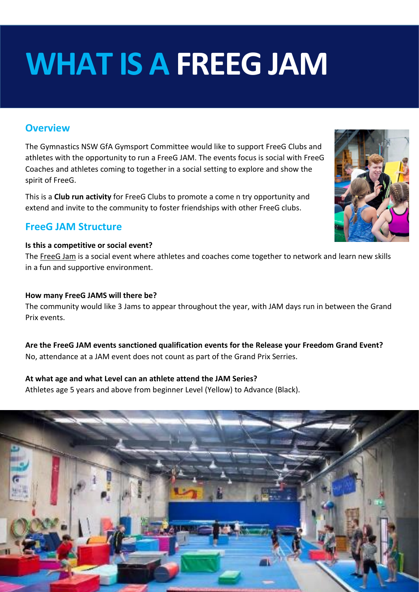# **WHAT IS A FREEG JAM**

### **Overview**

The Gymnastics NSW GfA Gymsport Committee would like to support FreeG Clubs and athletes with the opportunity to run a FreeG JAM. The events focus is social with FreeG Coaches and athletes coming to together in a social setting to explore and show the spirit of FreeG.

This is a **Club run activity** for FreeG Clubs to promote a come n try opportunity and extend and invite to the community to foster friendships with other FreeG clubs.

# **FreeG JAM Structure**

#### **Is this a competitive or social event?**

The FreeG Jam is a social event where athletes and coaches come together to network and learn new skills in a fun and supportive environment.

#### **How many FreeG JAMS will there be?**

The community would like 3 Jams to appear throughout the year, with JAM days run in between the Grand Prix events.

**Are the FreeG JAM events sanctioned qualification events for the Release your Freedom Grand Event?** No, attendance at a JAM event does not count as part of the Grand Prix Serries.

#### **At what age and what Level can an athlete attend the JAM Series?**

Athletes age 5 years and above from beginner Level (Yellow) to Advance (Black).